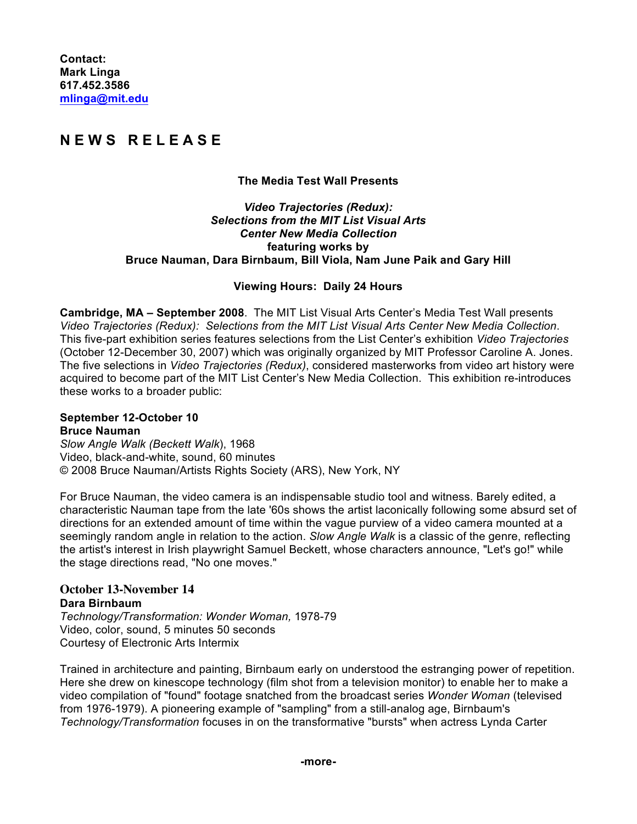# **N E W S R E L E A S E**

## **The Media Test Wall Presents**

#### *Video Trajectories (Redux): Selections from the MIT List Visual Arts Center New Media Collection* **featuring works by Bruce Nauman, Dara Birnbaum, Bill Viola, Nam June Paik and Gary Hill**

## **Viewing Hours: Daily 24 Hours**

**Cambridge, MA – September 2008**. The MIT List Visual Arts Center's Media Test Wall presents *Video Trajectories (Redux): Selections from the MIT List Visual Arts Center New Media Collection*. This five-part exhibition series features selections from the List Center's exhibition *Video Trajectories* (October 12-December 30, 2007) which was originally organized by MIT Professor Caroline A. Jones. The five selections in *Video Trajectories (Redux)*, considered masterworks from video art history were acquired to become part of the MIT List Center's New Media Collection. This exhibition re-introduces these works to a broader public:

#### **September 12-October 10 Bruce Nauman**

*Slow Angle Walk (Beckett Walk*), 1968 Video, black-and-white, sound, 60 minutes © 2008 Bruce Nauman/Artists Rights Society (ARS), New York, NY

For Bruce Nauman, the video camera is an indispensable studio tool and witness. Barely edited, a characteristic Nauman tape from the late '60s shows the artist laconically following some absurd set of directions for an extended amount of time within the vague purview of a video camera mounted at a seemingly random angle in relation to the action. *Slow Angle Walk* is a classic of the genre, reflecting the artist's interest in Irish playwright Samuel Beckett, whose characters announce, "Let's go!" while the stage directions read, "No one moves."

## **October 13-November 14 Dara Birnbaum**

*Technology/Transformation: Wonder Woman,* 1978-79 Video, color, sound, 5 minutes 50 seconds Courtesy of Electronic Arts Intermix

Trained in architecture and painting, Birnbaum early on understood the estranging power of repetition. Here she drew on kinescope technology (film shot from a television monitor) to enable her to make a video compilation of "found" footage snatched from the broadcast series *Wonder Woman* (televised from 1976-1979). A pioneering example of "sampling" from a still-analog age, Birnbaum's *Technology/Transformation* focuses in on the transformative "bursts" when actress Lynda Carter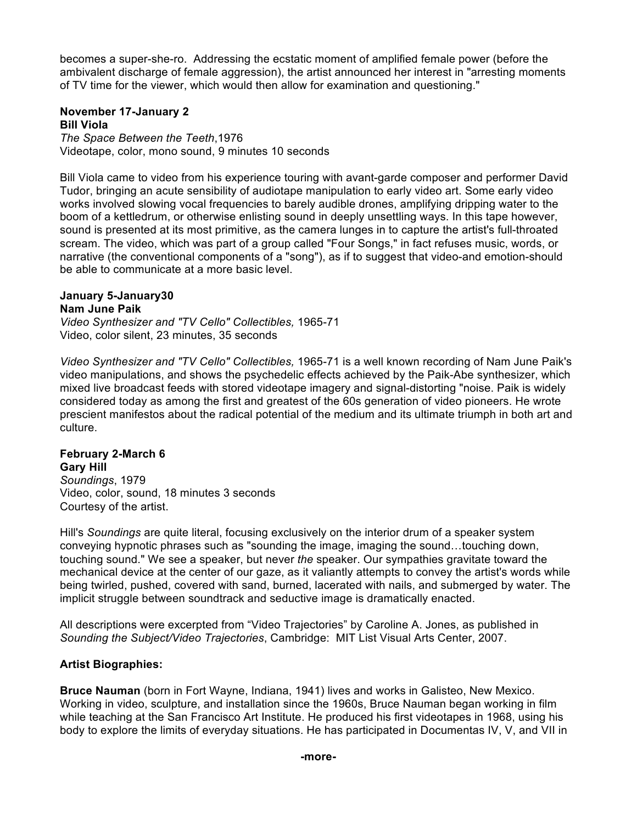becomes a super-she-ro. Addressing the ecstatic moment of amplified female power (before the ambivalent discharge of female aggression), the artist announced her interest in "arresting moments of TV time for the viewer, which would then allow for examination and questioning."

#### **November 17-January 2 Bill Viola**

*The Space Between the Teeth*,1976 Videotape, color, mono sound, 9 minutes 10 seconds

Bill Viola came to video from his experience touring with avant-garde composer and performer David Tudor, bringing an acute sensibility of audiotape manipulation to early video art. Some early video works involved slowing vocal frequencies to barely audible drones, amplifying dripping water to the boom of a kettledrum, or otherwise enlisting sound in deeply unsettling ways. In this tape however, sound is presented at its most primitive, as the camera lunges in to capture the artist's full-throated scream. The video, which was part of a group called "Four Songs," in fact refuses music, words, or narrative (the conventional components of a "song"), as if to suggest that video-and emotion-should be able to communicate at a more basic level.

## **January 5-January30**

## **Nam June Paik**

*Video Synthesizer and "TV Cello" Collectibles,* 1965-71 Video, color silent, 23 minutes, 35 seconds

*Video Synthesizer and "TV Cello" Collectibles,* 1965-71 is a well known recording of Nam June Paik's video manipulations, and shows the psychedelic effects achieved by the Paik-Abe synthesizer, which mixed live broadcast feeds with stored videotape imagery and signal-distorting "noise. Paik is widely considered today as among the first and greatest of the 60s generation of video pioneers. He wrote prescient manifestos about the radical potential of the medium and its ultimate triumph in both art and culture.

#### **February 2-March 6 Gary Hill**

*Soundings*, 1979 Video, color, sound, 18 minutes 3 seconds Courtesy of the artist.

Hill's *Soundings* are quite literal, focusing exclusively on the interior drum of a speaker system conveying hypnotic phrases such as "sounding the image, imaging the sound…touching down, touching sound." We see a speaker, but never *the* speaker. Our sympathies gravitate toward the mechanical device at the center of our gaze, as it valiantly attempts to convey the artist's words while being twirled, pushed, covered with sand, burned, lacerated with nails, and submerged by water. The implicit struggle between soundtrack and seductive image is dramatically enacted.

All descriptions were excerpted from "Video Trajectories" by Caroline A. Jones, as published in *Sounding the Subject/Video Trajectories*, Cambridge: MIT List Visual Arts Center, 2007.

## **Artist Biographies:**

**Bruce Nauman** (born in Fort Wayne, Indiana, 1941) lives and works in Galisteo, New Mexico. Working in video, sculpture, and installation since the 1960s, Bruce Nauman began working in film while teaching at the San Francisco Art Institute. He produced his first videotapes in 1968, using his body to explore the limits of everyday situations. He has participated in Documentas IV, V, and VII in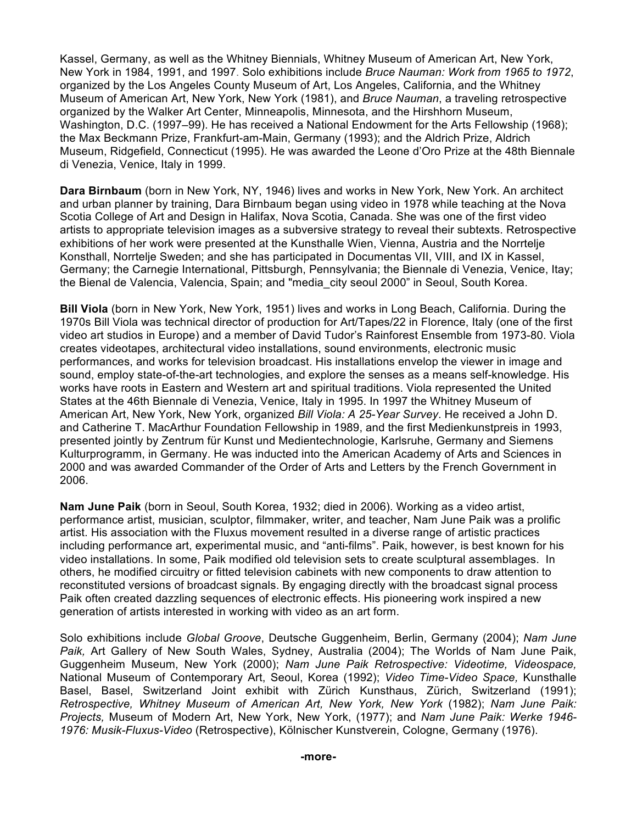Kassel, Germany, as well as the Whitney Biennials, Whitney Museum of American Art, New York, New York in 1984, 1991, and 1997. Solo exhibitions include *Bruce Nauman: Work from 1965 to 1972*, organized by the Los Angeles County Museum of Art, Los Angeles, California, and the Whitney Museum of American Art, New York, New York (1981), and *Bruce Nauman*, a traveling retrospective organized by the Walker Art Center, Minneapolis, Minnesota, and the Hirshhorn Museum, Washington, D.C. (1997–99). He has received a National Endowment for the Arts Fellowship (1968); the Max Beckmann Prize, Frankfurt-am-Main, Germany (1993); and the Aldrich Prize, Aldrich Museum, Ridgefield, Connecticut (1995). He was awarded the Leone d'Oro Prize at the 48th Biennale di Venezia, Venice, Italy in 1999.

**Dara Birnbaum** (born in New York, NY, 1946) lives and works in New York, New York. An architect and urban planner by training, Dara Birnbaum began using video in 1978 while teaching at the Nova Scotia College of Art and Design in Halifax, Nova Scotia, Canada. She was one of the first video artists to appropriate television images as a subversive strategy to reveal their subtexts. Retrospective exhibitions of her work were presented at the Kunsthalle Wien, Vienna, Austria and the Norrtelje Konsthall, Norrtelje Sweden; and she has participated in Documentas VII, VIII, and IX in Kassel, Germany; the Carnegie International, Pittsburgh, Pennsylvania; the Biennale di Venezia, Venice, Itay; the Bienal de Valencia, Valencia, Spain; and "media\_city seoul 2000" in Seoul, South Korea.

**Bill Viola** (born in New York, New York, 1951) lives and works in Long Beach, California. During the 1970s Bill Viola was technical director of production for Art/Tapes/22 in Florence, Italy (one of the first video art studios in Europe) and a member of David Tudor's Rainforest Ensemble from 1973-80. Viola creates videotapes, architectural video installations, sound environments, electronic music performances, and works for television broadcast. His installations envelop the viewer in image and sound, employ state-of-the-art technologies, and explore the senses as a means self-knowledge. His works have roots in Eastern and Western art and spiritual traditions. Viola represented the United States at the 46th Biennale di Venezia, Venice, Italy in 1995. In 1997 the Whitney Museum of American Art, New York, New York, organized *Bill Viola: A 25-Year Survey*. He received a John D. and Catherine T. MacArthur Foundation Fellowship in 1989, and the first Medienkunstpreis in 1993, presented jointly by Zentrum für Kunst und Medientechnologie, Karlsruhe, Germany and Siemens Kulturprogramm, in Germany. He was inducted into the American Academy of Arts and Sciences in 2000 and was awarded Commander of the Order of Arts and Letters by the French Government in 2006.

**Nam June Paik** (born in Seoul, South Korea, 1932; died in 2006). Working as a video artist, performance artist, musician, sculptor, filmmaker, writer, and teacher, Nam June Paik was a prolific artist. His association with the Fluxus movement resulted in a diverse range of artistic practices including performance art, experimental music, and "anti-films". Paik, however, is best known for his video installations. In some, Paik modified old television sets to create sculptural assemblages. In others, he modified circuitry or fitted television cabinets with new components to draw attention to reconstituted versions of broadcast signals. By engaging directly with the broadcast signal process Paik often created dazzling sequences of electronic effects. His pioneering work inspired a new generation of artists interested in working with video as an art form.

Solo exhibitions include *Global Groove*, Deutsche Guggenheim, Berlin, Germany (2004); *Nam June Paik,* Art Gallery of New South Wales, Sydney, Australia (2004); The Worlds of Nam June Paik, Guggenheim Museum, New York (2000); *Nam June Paik Retrospective: Videotime, Videospace,* National Museum of Contemporary Art, Seoul, Korea (1992); *Video Time-Video Space,* Kunsthalle Basel, Basel, Switzerland Joint exhibit with Zürich Kunsthaus, Zürich, Switzerland (1991); *Retrospective, Whitney Museum of American Art, New York, New York* (1982); *Nam June Paik: Projects,* Museum of Modern Art, New York, New York, (1977); and *Nam June Paik: Werke 1946- 1976: Musik-Fluxus-Video* (Retrospective), Kölnischer Kunstverein, Cologne, Germany (1976).